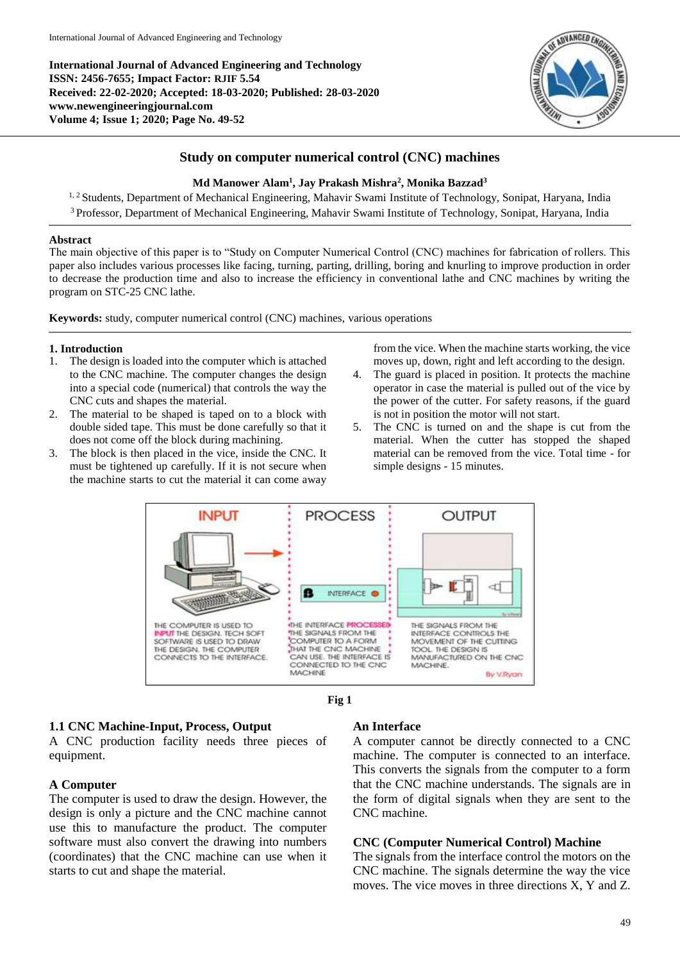**International Journal of Advanced Engineering and Technology ISSN: 2456-7655; Impact Factor: RJIF 5.54 Received: 22-02-2020; Accepted: 18-03-2020; Published: 28-03-2020 www.newengineeringjournal.com Volume 4; Issue 1; 2020; Page No. 49-52**



# **Study on computer numerical control (CNC) machines**

## **Md Manower Alam<sup>1</sup> , Jay Prakash Mishra<sup>2</sup> , Monika Bazzad<sup>3</sup>**

<sup>1, 2</sup> Students, Department of Mechanical Engineering, Mahavir Swami Institute of Technology, Sonipat, Haryana, India <sup>3</sup> Professor, Department of Mechanical Engineering, Mahavir Swami Institute of Technology, Sonipat, Haryana, India

#### **Abstract**

The main objective of this paper is to "Study on Computer Numerical Control (CNC) machines for fabrication of rollers. This paper also includes various processes like facing, turning, parting, drilling, boring and knurling to improve production in order to decrease the production time and also to increase the efficiency in conventional lathe and CNC machines by writing the program on STC-25 CNC lathe.

**Keywords:** study, computer numerical control (CNC) machines, various operations

### **1. Introduction**

- 1. The design is loaded into the computer which is attached to the CNC machine. The computer changes the design into a special code (numerical) that controls the way the CNC cuts and shapes the material.
- 2. The material to be shaped is taped on to a block with double sided tape. This must be done carefully so that it does not come off the block during machining.
- 3. The block is then placed in the vice, inside the CNC. It must be tightened up carefully. If it is not secure when the machine starts to cut the material it can come away

from the vice. When the machine starts working, the vice moves up, down, right and left according to the design.

- 4. The guard is placed in position. It protects the machine operator in case the material is pulled out of the vice by the power of the cutter. For safety reasons, if the guard is not in position the motor will not start.
- 5. The CNC is turned on and the shape is cut from the material. When the cutter has stopped the shaped material can be removed from the vice. Total time - for simple designs - 15 minutes.





# **1.1 CNC Machine-Input, Process, Output**

A CNC production facility needs three pieces of equipment.

### **A Computer**

The computer is used to draw the design. However, the design is only a picture and the CNC machine cannot use this to manufacture the product. The computer software must also convert the drawing into numbers (coordinates) that the CNC machine can use when it starts to cut and shape the material.

# **An Interface**

A computer cannot be directly connected to a CNC machine. The computer is connected to an interface. This converts the signals from the computer to a form that the CNC machine understands. The signals are in the form of digital signals when they are sent to the CNC machine.

### **CNC (Computer Numerical Control) Machine**

The signals from the interface control the motors on the CNC machine. The signals determine the way the vice moves. The vice moves in three directions X, Y and Z.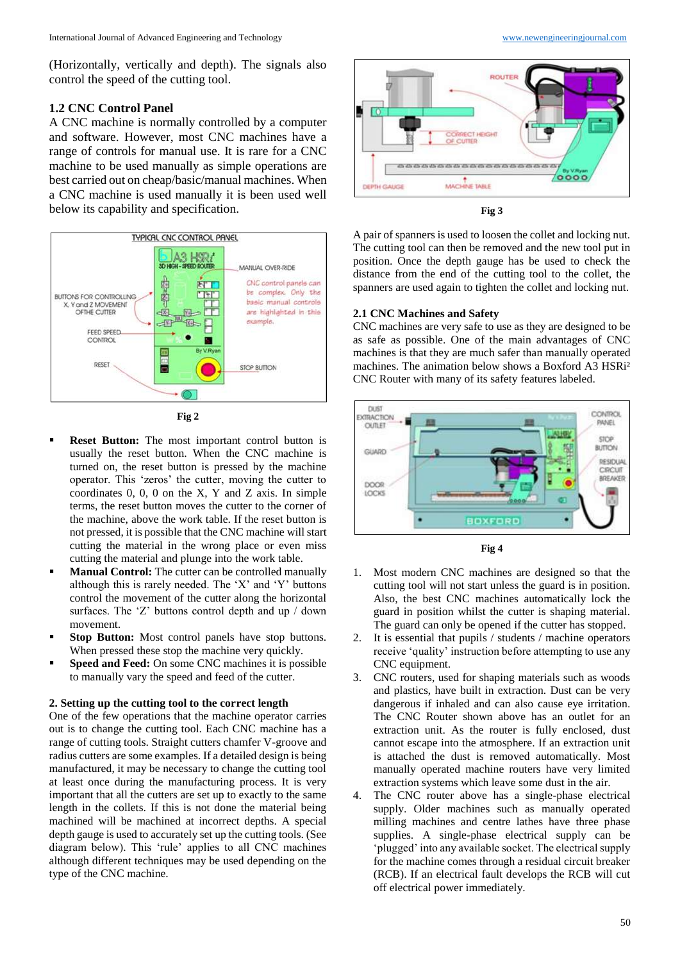(Horizontally, vertically and depth). The signals also control the speed of the cutting tool.

### **1.2 CNC Control Panel**

A CNC machine is normally controlled by a computer and software. However, most CNC machines have a range of controls for manual use. It is rare for a CNC machine to be used manually as simple operations are best carried out on cheap/basic/manual machines. When a CNC machine is used manually it is been used well below its capability and specification.





- **Reset Button:** The most important control button is usually the reset button. When the CNC machine is turned on, the reset button is pressed by the machine operator. This 'zeros' the cutter, moving the cutter to coordinates 0, 0, 0 on the X, Y and Z axis. In simple terms, the reset button moves the cutter to the corner of the machine, above the work table. If the reset button is not pressed, it is possible that the CNC machine will start cutting the material in the wrong place or even miss cutting the material and plunge into the work table.
- **Manual Control:** The cutter can be controlled manually although this is rarely needed. The 'X' and 'Y' buttons control the movement of the cutter along the horizontal surfaces. The 'Z' buttons control depth and up / down movement.
- **Stop Button:** Most control panels have stop buttons. When pressed these stop the machine very quickly.
- **Speed and Feed:** On some CNC machines it is possible to manually vary the speed and feed of the cutter.

#### **2. Setting up the cutting tool to the correct length**

One of the few operations that the machine operator carries out is to change the cutting tool. Each CNC machine has a range of cutting tools. Straight cutters chamfer V-groove and radius cutters are some examples. If a detailed design is being manufactured, it may be necessary to change the cutting tool at least once during the manufacturing process. It is very important that all the cutters are set up to exactly to the same length in the collets. If this is not done the material being machined will be machined at incorrect depths. A special depth gauge is used to accurately set up the cutting tools. (See diagram below). This 'rule' applies to all CNC machines although different techniques may be used depending on the type of the CNC machine.





A pair of spanners is used to loosen the collet and locking nut. The cutting tool can then be removed and the new tool put in position. Once the depth gauge has be used to check the distance from the end of the cutting tool to the collet, the spanners are used again to tighten the collet and locking nut.

#### **2.1 CNC Machines and Safety**

CNC machines are very safe to use as they are designed to be as safe as possible. One of the main advantages of CNC machines is that they are much safer than manually operated machines. The animation below shows a Boxford A3 HSRi² CNC Router with many of its safety features labeled.



**Fig 4**

- Most modern CNC machines are designed so that the cutting tool will not start unless the guard is in position. Also, the best CNC machines automatically lock the guard in position whilst the cutter is shaping material. The guard can only be opened if the cutter has stopped.
- 2. It is essential that pupils / students / machine operators receive 'quality' instruction before attempting to use any CNC equipment.
- 3. CNC routers, used for shaping materials such as woods and plastics, have built in extraction. Dust can be very dangerous if inhaled and can also cause eye irritation. The CNC Router shown above has an outlet for an extraction unit. As the router is fully enclosed, dust cannot escape into the atmosphere. If an extraction unit is attached the dust is removed automatically. Most manually operated machine routers have very limited extraction systems which leave some dust in the air.
- 4. The CNC router above has a single-phase electrical supply. Older machines such as manually operated milling machines and centre lathes have three phase supplies. A single-phase electrical supply can be 'plugged' into any available socket. The electrical supply for the machine comes through a residual circuit breaker (RCB). If an electrical fault develops the RCB will cut off electrical power immediately.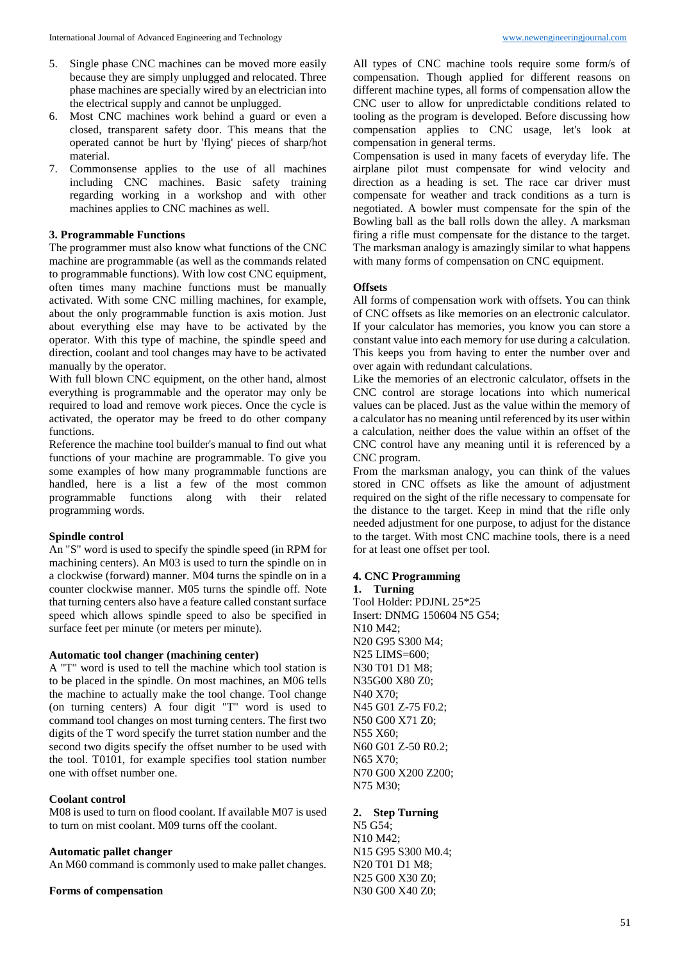- 5. Single phase CNC machines can be moved more easily because they are simply unplugged and relocated. Three phase machines are specially wired by an electrician into the electrical supply and cannot be unplugged.
- 6. Most CNC machines work behind a guard or even a closed, transparent safety door. This means that the operated cannot be hurt by 'flying' pieces of sharp/hot material.
- 7. Commonsense applies to the use of all machines including CNC machines. Basic safety training regarding working in a workshop and with other machines applies to CNC machines as well.

### **3. Programmable Functions**

The programmer must also know what functions of the CNC machine are programmable (as well as the commands related to programmable functions). With low cost CNC equipment, often times many machine functions must be manually activated. With some CNC milling machines, for example, about the only programmable function is axis motion. Just about everything else may have to be activated by the operator. With this type of machine, the spindle speed and direction, coolant and tool changes may have to be activated manually by the operator.

With full blown CNC equipment, on the other hand, almost everything is programmable and the operator may only be required to load and remove work pieces. Once the cycle is activated, the operator may be freed to do other company functions.

Reference the machine tool builder's manual to find out what functions of your machine are programmable. To give you some examples of how many programmable functions are handled, here is a list a few of the most common programmable functions along with their related programming words.

#### **Spindle control**

An "S" word is used to specify the spindle speed (in RPM for machining centers). An M03 is used to turn the spindle on in a clockwise (forward) manner. M04 turns the spindle on in a counter clockwise manner. M05 turns the spindle off. Note that turning centers also have a feature called constant surface speed which allows spindle speed to also be specified in surface feet per minute (or meters per minute).

#### **Automatic tool changer (machining center)**

A "T" word is used to tell the machine which tool station is to be placed in the spindle. On most machines, an M06 tells the machine to actually make the tool change. Tool change (on turning centers) A four digit "T" word is used to command tool changes on most turning centers. The first two digits of the T word specify the turret station number and the second two digits specify the offset number to be used with the tool. T0101, for example specifies tool station number one with offset number one.

#### **Coolant control**

M08 is used to turn on flood coolant. If available M07 is used to turn on mist coolant. M09 turns off the coolant.

#### **Automatic pallet changer**

An M60 command is commonly used to make pallet changes.

#### **Forms of compensation**

All types of CNC machine tools require some form/s of compensation. Though applied for different reasons on different machine types, all forms of compensation allow the CNC user to allow for unpredictable conditions related to tooling as the program is developed. Before discussing how compensation applies to CNC usage, let's look at compensation in general terms.

Compensation is used in many facets of everyday life. The airplane pilot must compensate for wind velocity and direction as a heading is set. The race car driver must compensate for weather and track conditions as a turn is negotiated. A bowler must compensate for the spin of the Bowling ball as the ball rolls down the alley. A marksman firing a rifle must compensate for the distance to the target. The marksman analogy is amazingly similar to what happens with many forms of compensation on CNC equipment.

### **Offsets**

All forms of compensation work with offsets. You can think of CNC offsets as like memories on an electronic calculator. If your calculator has memories, you know you can store a constant value into each memory for use during a calculation. This keeps you from having to enter the number over and over again with redundant calculations.

Like the memories of an electronic calculator, offsets in the CNC control are storage locations into which numerical values can be placed. Just as the value within the memory of a calculator has no meaning until referenced by its user within a calculation, neither does the value within an offset of the CNC control have any meaning until it is referenced by a CNC program.

From the marksman analogy, you can think of the values stored in CNC offsets as like the amount of adjustment required on the sight of the rifle necessary to compensate for the distance to the target. Keep in mind that the rifle only needed adjustment for one purpose, to adjust for the distance to the target. With most CNC machine tools, there is a need for at least one offset per tool.

#### **4. CNC Programming**

#### **1. Turning**

Tool Holder: PDJNL 25\*25 Insert: DNMG 150604 N5 G54; N10 M42; N20 G95 S300 M4; N25 LIMS=600; N30 T01 D1 M8; N35G00 X80 Z0; N40 X70; N45 G01 Z-75 F0.2; N50 G00 X71 Z0; N55 X60; N60 G01 Z-50 R0.2; N65 X70; N70 G00 X200 Z200; N75 M30;

#### **2. Step Turning**

N5 G54; N10 M42; N15 G95 S300 M0.4; N20 T01 D1 M8; N25 G00 X30 Z0; N30 G00 X40 Z0;